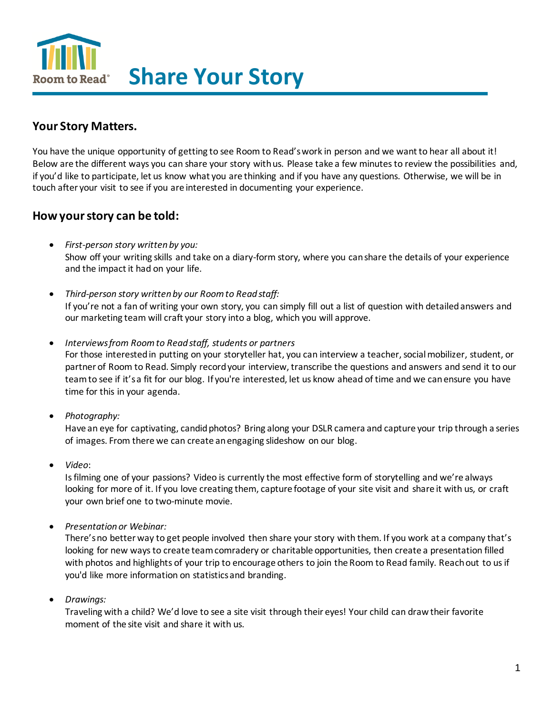Room to Read<sup>®</sup> Share Your Story

# **Your Story Matters.**

You have the unique opportunity of getting to see Room to Read's work in person and we want to hear all about it! Below are the different ways you can share your story with us. Please take a few minutes to review the possibilities and, if you'd like to participate, let us know what you are thinking and if you have any questions. Otherwise, we will be in touch after your visit to see if you are interested in documenting your experience.

### **How your story can be told:**

- *First-person story written by you:* Show off your writing skills and take on a diary-form story, where you can share the details of your experience and the impact it had on your life.
- *Third-person story written by our Room to Read staff:* If you're not a fan of writing your own story, you can simply fill out a list of question with detailed answers and our marketing team will craft your story into a blog, which you will approve.
- *Interviews from Room to Read staff, students or partners*

For those interested in putting on your storyteller hat, you can interview a teacher, social mobilizer, student, or partner of Room to Read. Simply record your interview, transcribe the questions and answers and send it to our team to see if it's a fit for our blog. If you're interested, let us know ahead of time and we can ensure you have time for this in your agenda.

• *Photography:*

Have an eye for captivating, candid photos? Bring along your DSLR camera and capture your trip through a series of images. From there we can create an engaging slideshow on our blog.

• *Video*:

Is filming one of your passions? Video is currently the most effective form of storytelling and we're always looking for more of it. If you love creating them, capture footage of your site visit and share it with us, or craft your own brief one to two-minute movie.

• *Presentation or Webinar:*

There's no better way to get people involved then share your story with them. If you work at a company that's looking for new ways to create team comradery or charitable opportunities, then create a presentation filled with photos and highlights of your trip to encourage others to join the Room to Read family. Reach out to us if you'd like more information on statistics and branding.

• *Drawings:* 

Traveling with a child? We'd love to see a site visit through their eyes! Your child can draw their favorite moment of the site visit and share it with us.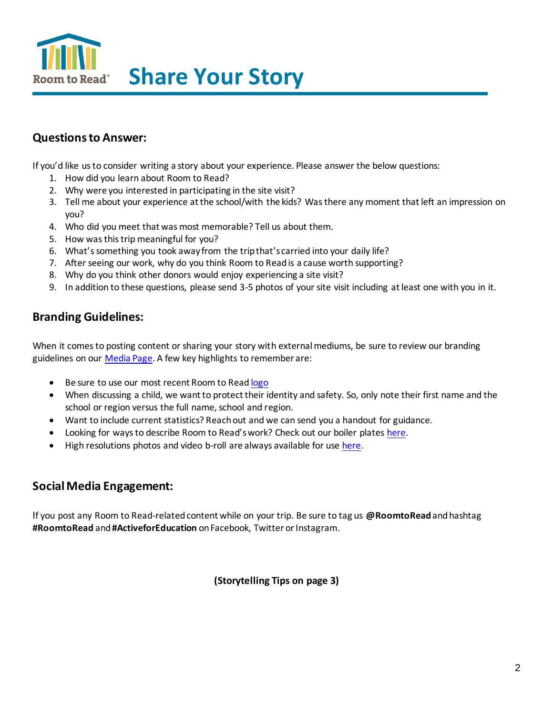

# **Questions to Answer:**

If you'd like us to consider writing a story about your experience. Please answer the below questions:

- 1. How did you learn about Room to Read?
- 2. Why were you interested in participating in the site visit?
- 3. Tell me about your experience at the school/with the kids? Was there any moment that left an impression on you?
- 4. Who did you meet that was most memorable? Tell us about them.
- 5. How was this trip meaningful for you?
- 6. What's something you took away from the trip that's carried into your daily life?
- 7. After seeing our work, why do you think Room to Read is a cause worth supporting?
- 8. Why do you think other donors would enjoy experiencing a site visit?
- 9. In addition to these questions, please send 3-5 photos of your site visit including at least one with you in it.

### **Branding Guidelines:**

When it comes to posting content or sharing your story with external mediums, be sure to review our branding guidelines on our [Media Page.](https://www.roomtoread.org/about-us/media/?tab=branding/boiler%20plates) A few key highlights to remember are:

- Be sure to use our most recent Room to Rea[d logo](https://www.roomtoread.org/about-us/media/?tab=branding/boiler%20plates)
- When discussing a child, we want to protect their identity and safety. So, only note their first name and the school or region versus the full name, school and region.
- Want to include current statistics? Reach out and we can send you a handout for guidance.
- Looking for ways to describe Room to Read's work? Check out our boiler plates [here.](https://www.roomtoread.org/about-us/media/?tab=branding/boiler%20plates)
- High resolutions photos and video b-roll are always available for use [here.](https://www.roomtoread.org/about-us/media/?tab=photography/video)

### **Social Media Engagement:**

If you post any Room to Read-related content while on your trip. Be sure to tag us **@RoomtoRead**and hashtag **#RoomtoRead** and **#ActiveforEducation** on Facebook, Twitter or Instagram.

**(Storytelling Tips on page 3)**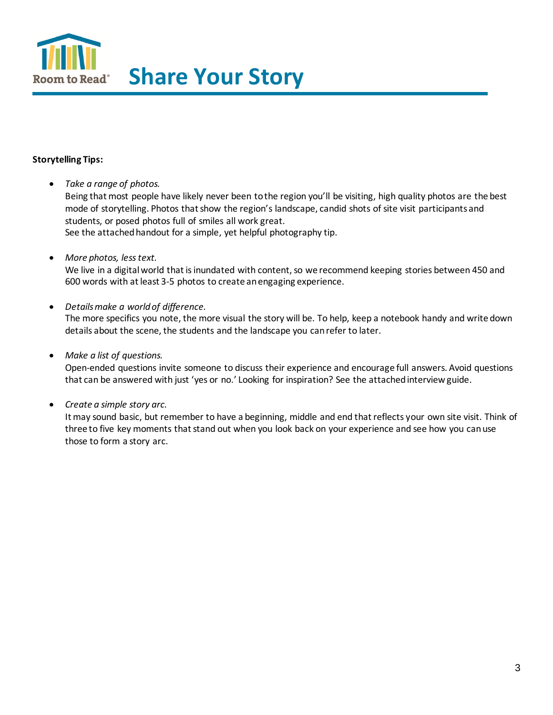

### **Storytelling Tips:**

• *Take a range of photos.*

Being that most people have likely never been to the region you'll be visiting, high quality photos are the best mode of storytelling. Photos that show the region's landscape, candid shots of site visit participants and students, or posed photos full of smiles all work great. See the attached handout for a simple, yet helpful photography tip.

• *More photos, less text.* 

We live in a digital world that is inundated with content, so we recommend keeping stories between 450 and 600 words with at least 3-5 photos to create an engaging experience.

• *Details make a world of difference.* 

The more specifics you note, the more visual the story will be. To help, keep a notebook handy and write down details about the scene, the students and the landscape you can refer to later.

• *Make a list of questions.* 

Open-ended questions invite someone to discuss their experience and encourage full answers. Avoid questions that can be answered with just 'yes or no.' Looking for inspiration? See the attached interview guide.

• *Create a simple story arc.* 

It may sound basic, but remember to have a beginning, middle and end that reflects your own site visit. Think of three to five key moments that stand out when you look back on your experience and see how you can use those to form a story arc.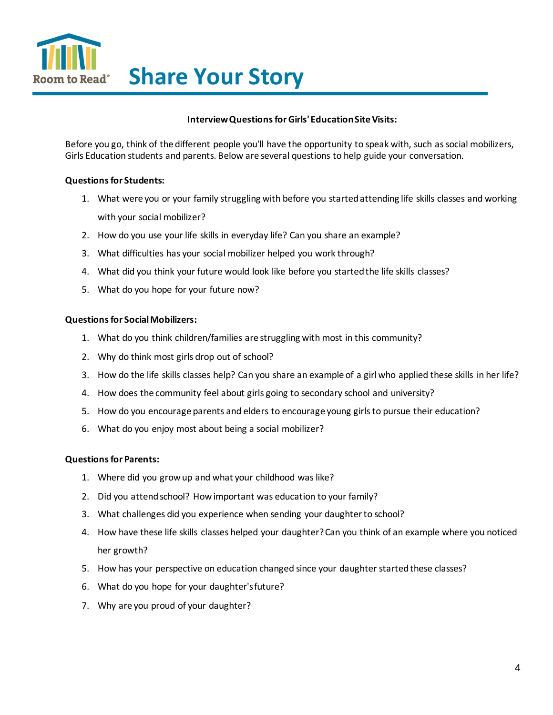

#### **Interview Questions for Girls' Education Site Visits:**

Before you go, think of the different people you'll have the opportunity to speak with, such as social mobilizers, Girls Education students and parents. Below are several questions to help guide your conversation.

#### **Questions for Students:**

- 1. What were you or your family struggling with before you started attending life skills classes and working with your social mobilizer?
- 2. How do you use your life skills in everyday life? Can you share an example?
- 3. What difficulties has your social mobilizer helped you work through?
- 4. What did you think your future would look like before you started the life skills classes?
- 5. What do you hope for your future now?

#### **Questions for Social Mobilizers:**

- 1. What do you think children/families are struggling with most in this community?
- 2. Why do think most girls drop out of school?
- 3. How do the life skills classes help? Can you share an example of a girl who applied these skills in her life?
- 4. How does the community feel about girls going to secondary school and university?
- 5. How do you encourage parents and elders to encourage young girls to pursue their education?
- 6. What do you enjoy most about being a social mobilizer?

#### **Questions for Parents:**

- 1. Where did you grow up and what your childhood was like?
- 2. Did you attend school? How important was education to your family?
- 3. What challenges did you experience when sending your daughter to school?
- 4. How have these life skills classes helped your daughter? Can you think of an example where you noticed her growth?
- 5. How has your perspective on education changed since your daughter started these classes?
- 6. What do you hope for your daughter's future?
- 7. Why are you proud of your daughter?